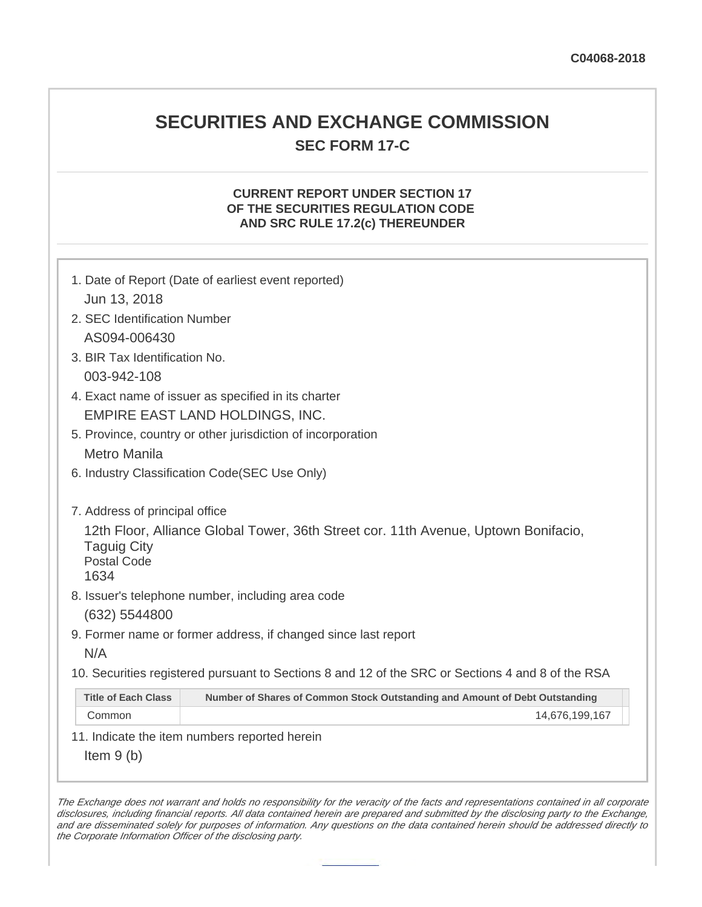## **SECURITIES AND EXCHANGE COMMISSION SEC FORM 17-C**

## **CURRENT REPORT UNDER SECTION 17 OF THE SECURITIES REGULATION CODE AND SRC RULE 17.2(c) THEREUNDER**

| 1. Date of Report (Date of earliest event reported)<br>Jun 13, 2018                                                                    |                                                                             |  |
|----------------------------------------------------------------------------------------------------------------------------------------|-----------------------------------------------------------------------------|--|
| 2. SEC Identification Number                                                                                                           |                                                                             |  |
| AS094-006430                                                                                                                           |                                                                             |  |
| 3. BIR Tax Identification No.                                                                                                          |                                                                             |  |
| 003-942-108                                                                                                                            |                                                                             |  |
| 4. Exact name of issuer as specified in its charter                                                                                    |                                                                             |  |
| EMPIRE EAST LAND HOLDINGS, INC.                                                                                                        |                                                                             |  |
| 5. Province, country or other jurisdiction of incorporation                                                                            |                                                                             |  |
| <b>Metro Manila</b>                                                                                                                    |                                                                             |  |
| 6. Industry Classification Code(SEC Use Only)                                                                                          |                                                                             |  |
| 7. Address of principal office                                                                                                         |                                                                             |  |
| 12th Floor, Alliance Global Tower, 36th Street cor. 11th Avenue, Uptown Bonifacio,<br><b>Taguig City</b><br><b>Postal Code</b><br>1634 |                                                                             |  |
| 8. Issuer's telephone number, including area code                                                                                      |                                                                             |  |
| (632) 5544800                                                                                                                          |                                                                             |  |
| 9. Former name or former address, if changed since last report                                                                         |                                                                             |  |
| N/A                                                                                                                                    |                                                                             |  |
| 10. Securities registered pursuant to Sections 8 and 12 of the SRC or Sections 4 and 8 of the RSA                                      |                                                                             |  |
| <b>Title of Each Class</b>                                                                                                             | Number of Shares of Common Stock Outstanding and Amount of Debt Outstanding |  |
| Common                                                                                                                                 | 14,676,199,167                                                              |  |
| 11. Indicate the item numbers reported herein                                                                                          |                                                                             |  |
| Item $9(b)$                                                                                                                            |                                                                             |  |

The Exchange does not warrant and holds no responsibility for the veracity of the facts and representations contained in all corporate disclosures, including financial reports. All data contained herein are prepared and submitted by the disclosing party to the Exchange, and are disseminated solely for purposes of information. Any questions on the data contained herein should be addressed directly to the Corporate Information Officer of the disclosing party.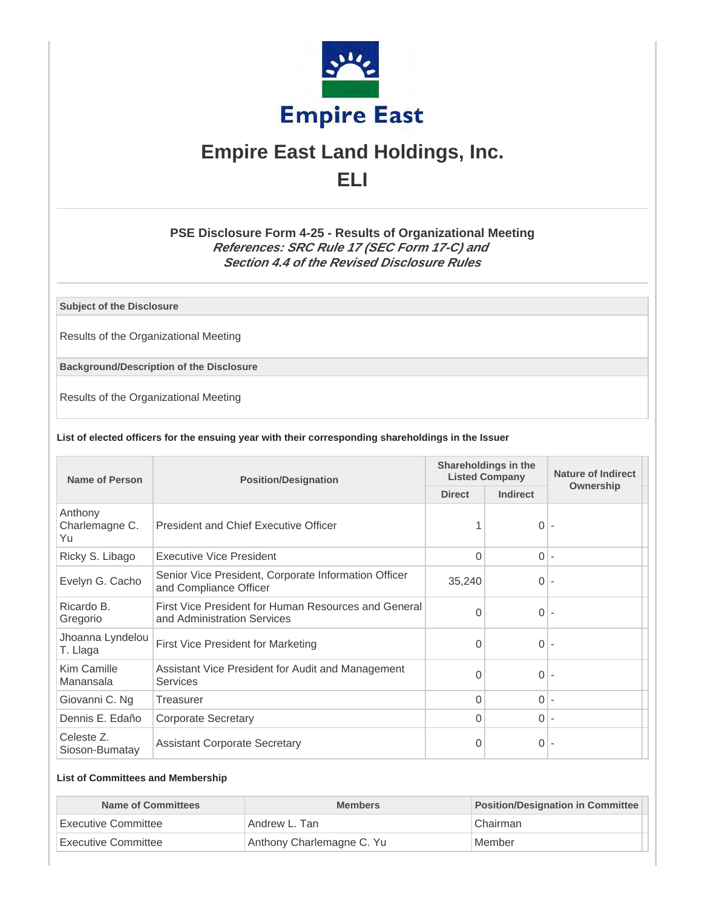

# **Empire East Land Holdings, Inc. ELI**

## **PSE Disclosure Form 4-25 - Results of Organizational Meeting References: SRC Rule 17 (SEC Form 17-C) and Section 4.4 of the Revised Disclosure Rules**

**Subject of the Disclosure**

Results of the Organizational Meeting

**Background/Description of the Disclosure**

Results of the Organizational Meeting

#### **List of elected officers for the ensuing year with their corresponding shareholdings in the Issuer**

| Name of Person                  | <b>Position/Designation</b>                                                         | Shareholdings in the<br><b>Listed Company</b> |                 | <b>Nature of Indirect</b> |
|---------------------------------|-------------------------------------------------------------------------------------|-----------------------------------------------|-----------------|---------------------------|
|                                 |                                                                                     | <b>Direct</b>                                 | <b>Indirect</b> | Ownership                 |
| Anthony<br>Charlemagne C.<br>Yu | President and Chief Executive Officer                                               |                                               | 0               |                           |
| Ricky S. Libago                 | Executive Vice President                                                            | 0                                             | $0 -$           |                           |
| Evelyn G. Cacho                 | Senior Vice President, Corporate Information Officer<br>and Compliance Officer      | 35,240                                        | $\Omega$        |                           |
| Ricardo B.<br>Gregorio          | First Vice President for Human Resources and General<br>and Administration Services | 0                                             | 0               |                           |
| Jhoanna Lyndelou<br>T. Llaga    | First Vice President for Marketing                                                  | 0                                             | 0               |                           |
| Kim Camille<br>Manansala        | Assistant Vice President for Audit and Management<br><b>Services</b>                | 0                                             | 0               |                           |
| Giovanni C. Ng                  | Treasurer                                                                           | 0                                             | 0               |                           |
| Dennis E. Edaño                 | <b>Corporate Secretary</b>                                                          | 0                                             | $\Omega$        |                           |
| Celeste Z.<br>Sioson-Bumatay    | <b>Assistant Corporate Secretary</b>                                                | 0                                             | 0               |                           |

## **List of Committees and Membership**

| Name of Committees   | <b>Members</b>            | <b>Position/Designation in Committee</b> |
|----------------------|---------------------------|------------------------------------------|
| Executive Committee  | Andrew L. Tan             | Chairman                                 |
| ⊥Executive Committee | Anthony Charlemagne C. Yu | Member                                   |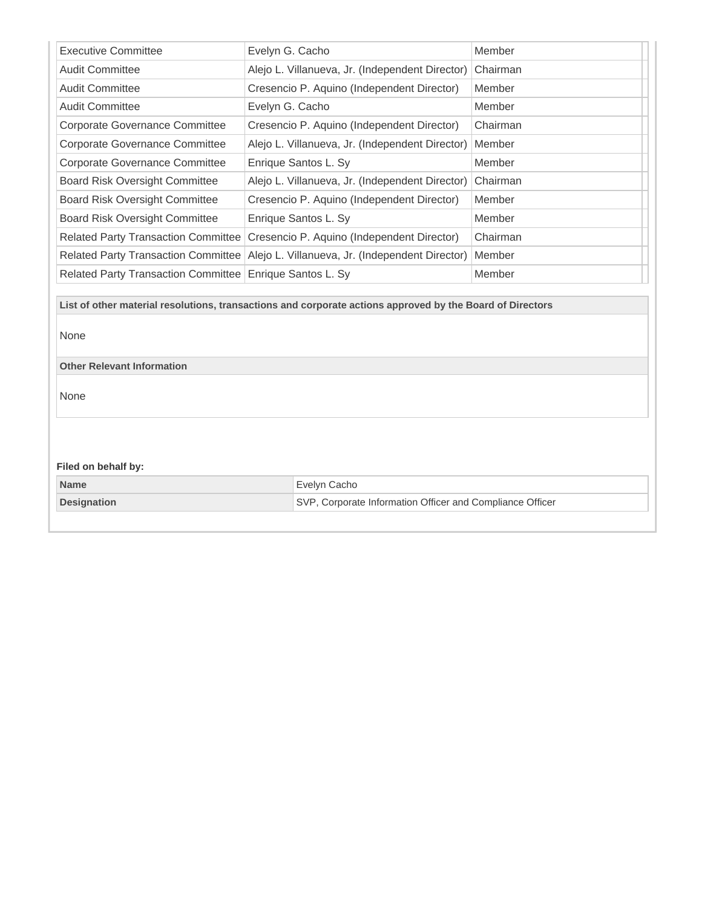| <b>Executive Committee</b>                                                                                                                                     | Evelyn G. Cacho                                 | Member   |  |  |
|----------------------------------------------------------------------------------------------------------------------------------------------------------------|-------------------------------------------------|----------|--|--|
| <b>Audit Committee</b>                                                                                                                                         | Alejo L. Villanueva, Jr. (Independent Director) | Chairman |  |  |
| <b>Audit Committee</b>                                                                                                                                         | Cresencio P. Aquino (Independent Director)      | Member   |  |  |
| <b>Audit Committee</b>                                                                                                                                         | Evelyn G. Cacho                                 | Member   |  |  |
| <b>Corporate Governance Committee</b>                                                                                                                          | Cresencio P. Aquino (Independent Director)      | Chairman |  |  |
| <b>Corporate Governance Committee</b>                                                                                                                          | Alejo L. Villanueva, Jr. (Independent Director) | Member   |  |  |
| <b>Corporate Governance Committee</b>                                                                                                                          | Enrique Santos L. Sy                            | Member   |  |  |
| <b>Board Risk Oversight Committee</b>                                                                                                                          | Alejo L. Villanueva, Jr. (Independent Director) | Chairman |  |  |
| <b>Board Risk Oversight Committee</b>                                                                                                                          | Cresencio P. Aquino (Independent Director)      | Member   |  |  |
| <b>Board Risk Oversight Committee</b>                                                                                                                          | Enrique Santos L. Sy                            | Member   |  |  |
| <b>Related Party Transaction Committee</b>                                                                                                                     | Cresencio P. Aquino (Independent Director)      | Chairman |  |  |
| <b>Related Party Transaction Committee</b>                                                                                                                     | Alejo L. Villanueva, Jr. (Independent Director) | Member   |  |  |
| Related Party Transaction Committee                                                                                                                            | Enrique Santos L. Sy                            | Member   |  |  |
| List of other material resolutions, transactions and corporate actions approved by the Board of Directors<br>None<br><b>Other Relevant Information</b><br>None |                                                 |          |  |  |
| Filed on behalf by:                                                                                                                                            |                                                 |          |  |  |
| <b>Name</b>                                                                                                                                                    | Evelyn Cacho                                    |          |  |  |
| SVP, Corporate Information Officer and Compliance Officer<br><b>Designation</b>                                                                                |                                                 |          |  |  |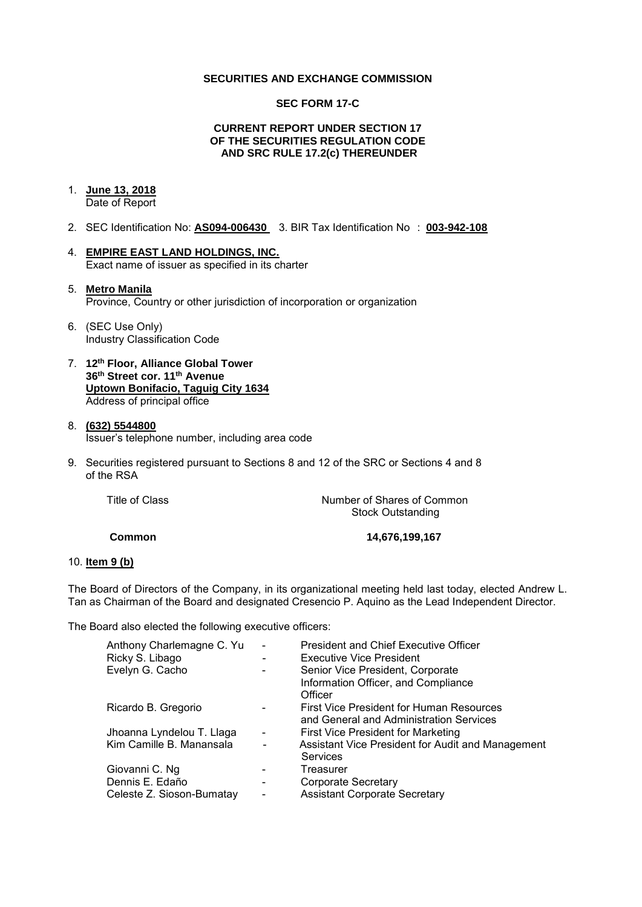## **SECURITIES AND EXCHANGE COMMISSION**

## **SEC FORM 17-C**

## **CURRENT REPORT UNDER SECTION 17 OF THE SECURITIES REGULATION CODE AND SRC RULE 17.2(c) THEREUNDER**

## 1. **June 13, 2018**

Date of Report

- 2. SEC Identification No: **AS094-006430** 3. BIR Tax Identification No : **003-942-108**
- 4. **EMPIRE EAST LAND HOLDINGS, INC.**  Exact name of issuer as specified in its charter

## 5. **Metro Manila**  Province, Country or other jurisdiction of incorporation or organization

- 6. (SEC Use Only) Industry Classification Code
- 7. **12th Floor, Alliance Global Tower 36th Street cor. 11th Avenue Uptown Bonifacio, Taguig City 1634** Address of principal office
- 8. **(632) 5544800**  Issuer's telephone number, including area code
- 9. Securities registered pursuant to Sections 8 and 12 of the SRC or Sections 4 and 8 of the RSA

| Title of Class | Number of Shares of Common |
|----------------|----------------------------|
|                | <b>Stock Outstanding</b>   |
|                |                            |

**Common 14,676,199,167** 

## 10. **Item 9 (b)**

The Board of Directors of the Company, in its organizational meeting held last today, elected Andrew L. Tan as Chairman of the Board and designated Cresencio P. Aquino as the Lead Independent Director.

The Board also elected the following executive officers:

| Anthony Charlemagne C. Yu<br>Ricky S. Libago | $\overline{\phantom{a}}$     | <b>President and Chief Executive Officer</b><br><b>Executive Vice President</b>     |
|----------------------------------------------|------------------------------|-------------------------------------------------------------------------------------|
| Evelyn G. Cacho                              |                              | Senior Vice President, Corporate<br>Information Officer, and Compliance<br>Officer  |
| Ricardo B. Gregorio                          |                              | First Vice President for Human Resources<br>and General and Administration Services |
| Jhoanna Lyndelou T. Llaga                    | $\qquad \qquad \blacksquare$ | First Vice President for Marketing                                                  |
| Kim Camille B. Manansala                     |                              | Assistant Vice President for Audit and Management<br><b>Services</b>                |
| Giovanni C. Ng                               |                              | Treasurer                                                                           |
| Dennis E. Edaño                              |                              | Corporate Secretary                                                                 |
| Celeste Z. Sioson-Bumatay                    | $\overline{\phantom{0}}$     | <b>Assistant Corporate Secretary</b>                                                |